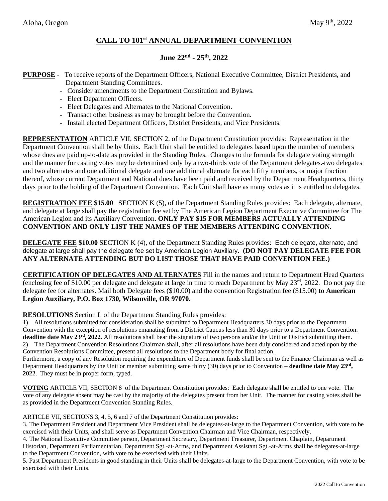## **CALL TO 101 st ANNUAL DEPARTMENT CONVENTION**

# **June 22 nd - 25 th, 2022**

### **PURPOSE** - To receive reports of the Department Officers, National Executive Committee, District Presidents, and Department Standing Committees.

- Consider amendments to the Department Constitution and Bylaws.
- Elect Department Officers.
- Elect Delegates and Alternates to the National Convention.
- Transact other business as may be brought before the Convention.
- Install elected Department Officers, District Presidents, and Vice Presidents.

**REPRESENTATION** ARTICLE VII, SECTION 2, of the Department Constitution provides: Representation in the Department Convention shall be by Units. Each Unit shall be entitled to delegates based upon the number of members whose dues are paid up-to-date as provided in the Standing Rules. Changes to the formula for delegate voting strength and the manner for casting votes may be determined only by a two-thirds vote of the Department delegates. two delegates and two alternates and one additional delegate and one additional alternate for each fifty members, or major fraction thereof, whose current Department and National dues have been paid and received by the Department Headquarters, thirty days prior to the holding of the Department Convention. Each Unit shall have as many votes as it is entitled to delegates.

**REGISTRATION FEE \$15.00** SECTION K (5), of the Department Standing Rules provides: Each delegate, alternate, and delegate at large shall pay the registration fee set by The American Legion Department Executive Committee for The American Legion and its Auxiliary Convention. **ONLY PAY \$15 FOR MEMBERS ACTUALLY ATTENDING CONVENTION AND ONLY LIST THE NAMES OF THE MEMBERS ATTENDING CONVENTION.**

**DELEGATE FEE \$10.00** SECTION K (4), of the Department Standing Rules provides: Each delegate, alternate, and delegate at large shall pay the delegate fee set by American Legion Auxiliary. **(DO NOT PAY DELEGATE FEE FOR ANY ALTERNATE ATTENDING BUT DO LIST THOSE THAT HAVE PAID CONVENTION FEE.)**

**CERTIFICATION OF DELEGATES AND ALTERNATES** Fill in the names and return to Department Head Quarters (enclosing fee of \$10.00 per delegate and delegate at large in time to reach Department by May  $23^{\text{rd}}$ ,  $2022$ . Do not pay the delegate fee for alternates. Mail both Delegate fees (\$10.00) and the convention Registration fee (\$15.00) **to American Legion Auxiliary, P.O. Box 1730, Wilsonville, OR 97070.**

#### **RESOLUTIONS** Section L of the Department Standing Rules provides:

1) All resolutions submitted for consideration shall be submitted to Department Headquarters 30 days prior to the Department Convention with the exception of resolutions emanating from a District Caucus less than 30 days prior to a Department Convention. **deadline date May 23<sup>rd</sup>**, 2022. All resolutions shall bear the signature of two persons and/or the Unit or District submitting them. 2) The Department Convention Resolutions Chairman shall, after all resolutions have been duly considered and acted upon by the Convention Resolutions Committee, present all resolutions to the Department body for final action.

Furthermore, a copy of any Resolution requiring the expenditure of Department funds shall be sent to the Finance Chairman as well as Department Headquarters by the Unit or member submitting same thirty (30) days prior to Convention – **deadline date May 23<sup>rd</sup>**, **2022**. They must be in proper form, typed.

**VOTING** ARTICLE VII, SECTION 8 of the Department Constitution provides: Each delegate shall be entitled to one vote. The vote of any delegate absent may be cast by the majority of the delegates present from her Unit. The manner for casting votes shall be as provided in the Department Convention Standing Rules.

ARTICLE VII, SECTIONS 3, 4, 5, 6 and 7 of the Department Constitution provides:

3. The Department President and Department Vice President shall be delegates-at-large to the Department Convention, with vote to be exercised with their Units, and shall serve as Department Convention Chairman and Vice Chairman, respectively.

4. The National Executive Committee person, Department Secretary, Department Treasurer, Department Chaplain, Department Historian, Department Parliamentarian, Department Sgt.-at-Arms, and Department Assistant Sgt.-at-Arms shall be delegates-at-large to the Department Convention, with vote to be exercised with their Units.

5. Past Department Presidents in good standing in their Units shall be delegates-at-large to the Department Convention, with vote to be exercised with their Units.